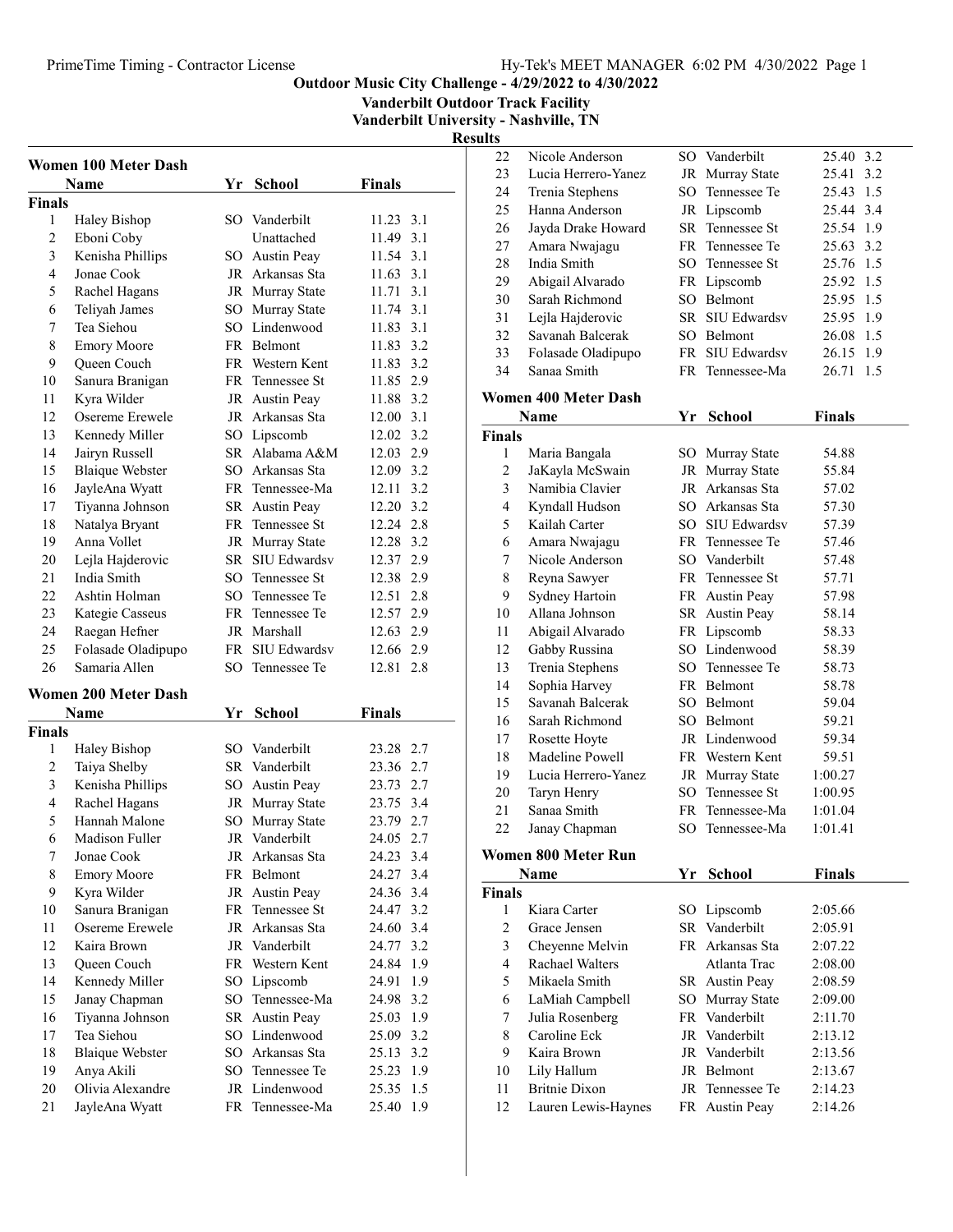Vanderbilt Outdoor Track Facility

Vanderbilt University - Nashville, TN

|                | <b>Women 100 Meter Dash</b>    |    |                                   |                           |
|----------------|--------------------------------|----|-----------------------------------|---------------------------|
|                | Name                           | Yr | <b>School</b>                     | <b>Finals</b>             |
| Finals         |                                |    | SO Vanderbilt                     |                           |
| 1<br>2         | Haley Bishop                   |    | Unattached                        | 11.23 3.1<br>11.49<br>3.1 |
| 3              | Eboni Coby                     |    |                                   | 11.54 3.1                 |
| $\overline{4}$ | Kenisha Phillips<br>Jonae Cook |    | SO Austin Peay<br>JR Arkansas Sta | 11.63 3.1                 |
| 5              |                                |    |                                   | 11.71 3.1                 |
| 6              | Rachel Hagans<br>Teliyah James |    | JR Murray State                   | 11.74 3.1                 |
| 7              | Tea Siehou                     |    | SO Murray State<br>SO Lindenwood  |                           |
| 8              | <b>Emory Moore</b>             |    | FR Belmont                        | 11.83 3.1<br>11.83 3.2    |
|                |                                |    | FR Western Kent                   |                           |
| 9              | Queen Couch                    |    |                                   | 11.83 3.2                 |
| 10             | Sanura Branigan                |    | FR Tennessee St                   | 11.85 2.9                 |
| 11             | Kyra Wilder                    |    | JR Austin Peay                    | 11.88 3.2                 |
| 12             | Osereme Erewele                |    | JR Arkansas Sta                   | 12.00 3.1                 |
| 13             | Kennedy Miller                 |    | SO Lipscomb                       | 12.02 3.2                 |
| 14             | Jairyn Russell                 |    | SR Alabama A&M                    | 12.03 2.9                 |
| 15             | <b>Blaique Webster</b>         |    | SO Arkansas Sta                   | 12.09 3.2                 |
| 16             | JayleAna Wyatt                 |    | FR Tennessee-Ma                   | 12.11 3.2                 |
| 17             | Tiyanna Johnson                |    | SR Austin Peay                    | 12.20 3.2                 |
| 18             | Natalya Bryant                 |    | FR Tennessee St                   | 12.24 2.8                 |
| 19             | Anna Vollet                    |    | JR Murray State                   | 12.28 3.2                 |
| 20             | Lejla Hajderovic               |    | SR SIU Edwardsv                   | 12.37 2.9                 |
| 21             | India Smith                    |    | SO Tennessee St                   | 12.38 2.9                 |
| 22             | Ashtin Holman                  |    | SO Tennessee Te                   | 12.51 2.8                 |
| 23             | Kategie Casseus                |    | FR Tennessee Te                   | 12.57 2.9                 |
| 24             | Raegan Hefner                  |    | JR Marshall                       | 12.63 2.9                 |
| 25             | Folasade Oladipupo             |    | FR SIU Edwardsv                   | 12.66 2.9                 |
| 26             | Samaria Allen                  | SO | Tennessee Te                      | 12.81 2.8                 |
|                | Women 200 Meter Dash           |    |                                   |                           |
|                | Name                           | Yr | <b>School</b>                     | <b>Finals</b>             |
| <b>Finals</b>  |                                |    |                                   |                           |
| 1              | Haley Bishop                   |    | SO Vanderbilt                     | 23.28 2.7                 |
| 2              | Taiya Shelby                   |    | SR Vanderbilt                     | 23.36 2.7                 |
| 3              | Kenisha Phillips               |    | SO Austin Peay                    | 23.73 2.7                 |
| $\overline{4}$ | Rachel Hagans                  |    | JR Murray State                   | 23.75 3.4                 |
| 5              | Hannah Malone                  |    | SO Murray State                   | 23.79 2.7                 |
| 6              | Madison Fuller                 |    | JR Vanderbilt                     | 24.05 2.7                 |
| 7              | Jonae Cook                     |    | JR Arkansas Sta                   | 24.23 3.4                 |
| 8              | <b>Emory Moore</b>             |    | FR Belmont                        | 24.27 3.4                 |
| 9              | Kyra Wilder                    |    | JR Austin Peay                    | 24.36 3.4                 |
| 10             | Sanura Branigan                | FR | Tennessee St                      | 24.47 3.2                 |
| 11             | Osereme Erewele                |    | JR Arkansas Sta                   | 24.60<br>3.4              |
| 12             | Kaira Brown                    |    | JR Vanderbilt                     | 24.77<br>3.2              |
| 13             | Queen Couch                    | FR | Western Kent                      | 24.84<br>1.9              |
| 14             | Kennedy Miller                 | SO | Lipscomb                          | 24.91<br>1.9              |
| 15             | Janay Chapman                  | SO | Tennessee-Ma                      | 24.98<br>3.2              |
| 16             | Tiyanna Johnson                | SR | Austin Peay                       | 25.03<br>1.9              |
| 17             | Tea Siehou                     |    | SO Lindenwood                     | 25.09 3.2                 |
| 18             | <b>Blaique Webster</b>         |    | SO Arkansas Sta                   | 25.13 3.2                 |
| 19             | Anya Akili                     | SO | Tennessee Te                      | 25.23<br>1.9              |
| 20             | Olivia Alexandre               |    | JR Lindenwood                     | 25.35<br>1.5              |
| 21             | JayleAna Wyatt                 |    | FR Tennessee-Ma                   | 25.40<br>1.9              |

| 22             | Nicole Anderson             |      | SO Vanderbilt   | 25.40 3.2     |
|----------------|-----------------------------|------|-----------------|---------------|
| 23             | Lucia Herrero-Yanez         |      | JR Murray State | 25.41<br>3.2  |
| 24             | Trenia Stephens             | SO - | Tennessee Te    | 25.43 1.5     |
| 25             | Hanna Anderson              |      | JR Lipscomb     | 25.44 3.4     |
| 26             | Jayda Drake Howard          |      | SR Tennessee St | 25.54 1.9     |
| 27             | Amara Nwajagu               |      | FR Tennessee Te | 25.63 3.2     |
| 28             | India Smith                 |      | SO Tennessee St | 25.76 1.5     |
| 29             | Abigail Alvarado            |      | FR Lipscomb     | 25.92 1.5     |
| 30             | Sarah Richmond              |      | SO Belmont      | 25.95 1.5     |
| 31             | Lejla Hajderovic            |      | SR SIU Edwardsv | 25.95 1.9     |
| 32             | Savanah Balcerak            |      | SO Belmont      | 26.08 1.5     |
| 33             | Folasade Oladipupo          |      | FR SIU Edwardsv | 26.15<br>1.9  |
| 34             | Sanaa Smith                 |      | FR Tennessee-Ma | 26.71<br>1.5  |
|                | <b>Women 400 Meter Dash</b> |      |                 |               |
|                | Name                        | Yr   | <b>School</b>   | <b>Finals</b> |
| <b>Finals</b>  |                             |      |                 |               |
| 1              | Maria Bangala               |      | SO Murray State | 54.88         |
| 2              | JaKayla McSwain             |      | JR Murray State | 55.84         |
| 3              | Namibia Clavier             |      | JR Arkansas Sta | 57.02         |
| 4              | Kyndall Hudson              |      | SO Arkansas Sta | 57.30         |
| 5              | Kailah Carter               |      | SO SIU Edwardsv | 57.39         |
| 6              | Amara Nwajagu               |      | FR Tennessee Te | 57.46         |
| 7              | Nicole Anderson             |      | SO Vanderbilt   | 57.48         |
| 8              | Reyna Sawyer                |      | FR Tennessee St | 57.71         |
| 9              | Sydney Hartoin              |      | FR Austin Peay  | 57.98         |
| 10             | Allana Johnson              |      | SR Austin Peay  | 58.14         |
| 11             | Abigail Alvarado            |      | FR Lipscomb     | 58.33         |
| 12             | Gabby Russina               |      | SO Lindenwood   | 58.39         |
| 13             | Trenia Stephens             |      | SO Tennessee Te | 58.73         |
| 14             | Sophia Harvey               |      | FR Belmont      | 58.78         |
| 15             | Savanah Balcerak            |      | SO Belmont      | 59.04         |
| 16             | Sarah Richmond              |      | SO Belmont      | 59.21         |
| 17             | Rosette Hoyte               |      | JR Lindenwood   | 59.34         |
| 18             | Madeline Powell             |      | FR Western Kent | 59.51         |
| 19             | Lucia Herrero-Yanez         |      | JR Murray State | 1:00.27       |
| 20             | Taryn Henry                 | SO.  | Tennessee St    | 1:00.95       |
| 21             | Sanaa Smith                 | FR   | Tennessee-Ma    | 1:01.04       |
| 22             | Janay Chapman               | SО   | Tennessee-Ma    | 1:01.41       |
|                | <b>Women 800 Meter Run</b>  |      |                 |               |
|                | <b>Name</b>                 | Yr   | <b>School</b>   | <b>Finals</b> |
| <b>Finals</b>  |                             |      |                 |               |
| 1              | Kiara Carter                |      | SO Lipscomb     | 2:05.66       |
| $\overline{c}$ | Grace Jensen                | SR   | Vanderbilt      | 2:05.91       |
| 3              | Cheyenne Melvin             |      | FR Arkansas Sta | 2:07.22       |
| 4              | <b>Rachael Walters</b>      |      | Atlanta Trac    | 2:08.00       |
| 5              | Mikaela Smith               |      | SR Austin Peay  | 2:08.59       |
| 6              | LaMiah Campbell             | SO   | Murray State    | 2:09.00       |
| 7              | Julia Rosenberg             |      | FR Vanderbilt   | 2:11.70       |

| Name                 |              |                                                                                                                                                                                                      |         |
|----------------------|--------------|------------------------------------------------------------------------------------------------------------------------------------------------------------------------------------------------------|---------|
| <b>Finals</b>        |              |                                                                                                                                                                                                      |         |
| Kiara Carter         |              | 2:05.66                                                                                                                                                                                              |         |
| Grace Jensen         |              | 2:05.91                                                                                                                                                                                              |         |
| Cheyenne Melvin      |              | 2:07.22                                                                                                                                                                                              |         |
| Rachael Walters      | Atlanta Trac | 2:08.00                                                                                                                                                                                              |         |
| Mikaela Smith        |              | 2:08.59                                                                                                                                                                                              |         |
| LaMiah Campbell      |              | 2:09.00                                                                                                                                                                                              |         |
| Julia Rosenberg      |              | 2:11.70                                                                                                                                                                                              |         |
| Caroline Eck         |              | 2:13.12                                                                                                                                                                                              |         |
| Kaira Brown          |              | 2:13.56                                                                                                                                                                                              |         |
| Lily Hallum          |              | 2:13.67                                                                                                                                                                                              |         |
| <b>Britnie Dixon</b> |              | 2:14.23                                                                                                                                                                                              |         |
| Lauren Lewis-Haynes  |              | 2:14.26                                                                                                                                                                                              |         |
|                      | Y r          | SCHOOL<br>SO Lipscomb<br>SR Vanderbilt<br>FR Arkansas Sta<br>SR Austin Peay<br>SO Murray State<br>FR Vanderbilt<br>JR Vanderbilt<br>JR Vanderbilt<br>JR Belmont<br>JR Tennessee Te<br>FR Austin Peay | r ınaıs |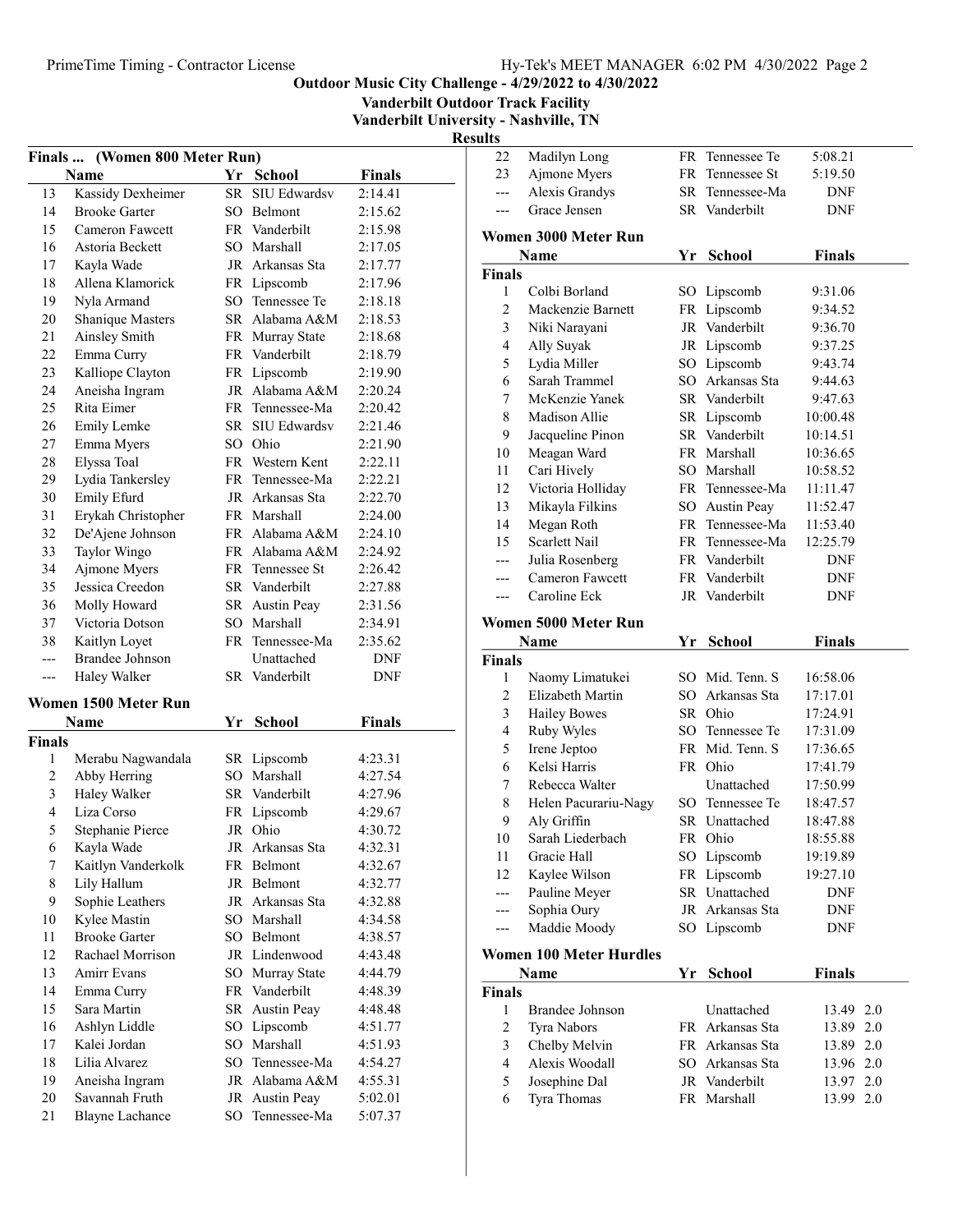Vanderbilt Outdoor Track Facility

Vanderbilt University - Nashville, TN Result

| <b>Finals</b>  | (Women 800 Meter Run)       |      |                 |               |  |  |  |
|----------------|-----------------------------|------|-----------------|---------------|--|--|--|
|                | Name                        | Yr   | <b>School</b>   | <b>Finals</b> |  |  |  |
| 13             | Kassidy Dexheimer           | SR - | SIU Edwardsv    | 2:14.41       |  |  |  |
| 14             | <b>Brooke Garter</b>        |      | SO Belmont      | 2:15.62       |  |  |  |
| 15             | Cameron Fawcett             |      | FR Vanderbilt   | 2:15.98       |  |  |  |
| 16             | Astoria Beckett             |      | SO Marshall     | 2:17.05       |  |  |  |
| 17             | Kayla Wade                  |      | JR Arkansas Sta | 2:17.77       |  |  |  |
| 18             | Allena Klamorick            |      | FR Lipscomb     | 2:17.96       |  |  |  |
| 19             | Nyla Armand                 |      | SO Tennessee Te | 2:18.18       |  |  |  |
| 20             | Shanique Masters            |      | SR Alabama A&M  | 2:18.53       |  |  |  |
| 21             | <b>Ainsley Smith</b>        | FR   | Murray State    | 2:18.68       |  |  |  |
| 22             | Emma Curry                  | FR   | Vanderbilt      | 2:18.79       |  |  |  |
| 23             | Kalliope Clayton            | FR   | Lipscomb        | 2:19.90       |  |  |  |
| 24             | Aneisha Ingram              |      | JR Alabama A&M  | 2:20.24       |  |  |  |
| 25             | Rita Eimer                  |      | FR Tennessee-Ma | 2:20.42       |  |  |  |
| 26             | <b>Emily Lemke</b>          |      | SR SIU Edwardsv | 2:21.46       |  |  |  |
| 27             | Emma Myers                  |      | SO Ohio         | 2:21.90       |  |  |  |
| 28             | Elyssa Toal                 |      | FR Western Kent | 2:22.11       |  |  |  |
| 29             | Lydia Tankersley            |      | FR Tennessee-Ma | 2:22.21       |  |  |  |
| 30             | Emily Efurd                 |      | JR Arkansas Sta | 2:22.70       |  |  |  |
| 31             | Erykah Christopher          |      | FR Marshall     | 2:24.00       |  |  |  |
| 32             | De'Ajene Johnson            |      | FR Alabama A&M  | 2:24.10       |  |  |  |
| 33             | Taylor Wingo                |      | FR Alabama A&M  | 2:24.92       |  |  |  |
| 34             | Ajmone Myers                |      | FR Tennessee St | 2:26.42       |  |  |  |
| 35             | Jessica Creedon             |      | SR Vanderbilt   | 2:27.88       |  |  |  |
| 36             | Molly Howard                |      | SR Austin Peay  | 2:31.56       |  |  |  |
| 37             | Victoria Dotson             |      | SO Marshall     | 2:34.91       |  |  |  |
| 38             | Kaitlyn Loyet               |      | FR Tennessee-Ma | 2:35.62       |  |  |  |
| $---$          | Brandee Johnson             |      | Unattached      | DNF           |  |  |  |
| $---$          | Haley Walker                |      | SR Vanderbilt   | DNF           |  |  |  |
|                |                             |      |                 |               |  |  |  |
|                | <b>Women 1500 Meter Run</b> |      |                 |               |  |  |  |
|                | Name                        | Yr   | <b>School</b>   | <b>Finals</b> |  |  |  |
| <b>Finals</b>  |                             |      |                 |               |  |  |  |
| 1              | Merabu Nagwandala           |      | SR Lipscomb     | 4:23.31       |  |  |  |
| $\overline{c}$ | Abby Herring                |      | SO Marshall     | 4:27.54       |  |  |  |
| 3              | Haley Walker                | SR   | Vanderbilt      | 4:27.96       |  |  |  |
| 4              | Liza Corso                  | FR   | Lipscomb        | 4:29.67       |  |  |  |
| 5              | <b>Stephanie Pierce</b>     | JR   | Ohio            | 4:30.72       |  |  |  |
| 6              | Kayla Wade                  |      | JR Arkansas Sta | 4:32.31       |  |  |  |
| 7              | Kaitlyn Vanderkolk          |      | FR Belmont      | 4:32.67       |  |  |  |
| $\,$ $\,$      | Lily Hallum                 |      | JR Belmont      | 4:32.77       |  |  |  |
| 9              | Sophie Leathers             | JR   | Arkansas Sta    | 4:32.88       |  |  |  |
| 10             | Kylee Mastin                |      | SO Marshall     | 4:34.58       |  |  |  |
| 11             | <b>Brooke Garter</b>        | SO.  | Belmont         | 4:38.57       |  |  |  |
| 12             | Rachael Morrison            |      | JR Lindenwood   | 4:43.48       |  |  |  |
| 13             | Amirr Evans                 | SO   | Murray State    | 4:44.79       |  |  |  |
| 14             | Emma Curry                  |      | FR Vanderbilt   | 4:48.39       |  |  |  |
| 15             | Sara Martin                 | SR   | Austin Peay     | 4:48.48       |  |  |  |
| 16             | Ashlyn Liddle               | SO   | Lipscomb        | 4:51.77       |  |  |  |
| 17             | Kalei Jordan                | SO   | Marshall        | 4:51.93       |  |  |  |
| 18             | Lilia Alvarez               | SO   | Tennessee-Ma    | 4:54.27       |  |  |  |
| 19             | Aneisha Ingram              |      | JR Alabama A&M  | 4:55.31       |  |  |  |
| 20             | Savannah Fruth              | JR   | Austin Peay     | 5:02.01       |  |  |  |
| 21             | <b>Blayne Lachance</b>      | SO   | Tennessee-Ma    | 5:07.37       |  |  |  |
|                |                             |      |                 |               |  |  |  |

| LLS                     |                         |    |                                  |               |
|-------------------------|-------------------------|----|----------------------------------|---------------|
| 22                      | Madilyn Long            |    | FR Tennessee Te                  | 5:08.21       |
| 23                      | Ajmone Myers            |    | FR Tennessee St                  | 5:19.50       |
| ---                     | <b>Alexis Grandys</b>   |    | SR Tennessee-Ma                  | DNF           |
| $---$                   | Grace Jensen            |    | SR Vanderbilt                    | DNF           |
|                         |                         |    |                                  |               |
|                         | Women 3000 Meter Run    |    |                                  |               |
|                         | Name                    | Yr | <b>School</b>                    | <b>Finals</b> |
| Finals                  |                         |    |                                  |               |
| 1                       | Colbi Borland           |    | SO Lipscomb                      | 9:31.06       |
| $\overline{2}$          | Mackenzie Barnett       |    | FR Lipscomb                      | 9:34.52       |
| $\mathfrak{Z}$          | Niki Narayani           |    | JR Vanderbilt                    | 9:36.70       |
| 4                       | Ally Suyak              |    | JR Lipscomb                      | 9:37.25       |
| 5                       | Lydia Miller            |    | SO Lipscomb                      | 9:43.74       |
| 6                       | Sarah Trammel           |    | SO Arkansas Sta                  | 9:44.63       |
| $\boldsymbol{7}$        | McKenzie Yanek          |    | SR Vanderbilt                    | 9:47.63       |
| 8                       | Madison Allie           |    | SR Lipscomb                      | 10:00.48      |
| 9                       | Jacqueline Pinon        |    | SR Vanderbilt                    | 10:14.51      |
| 10                      | Meagan Ward             |    | FR Marshall                      | 10:36.65      |
| 11                      | Cari Hively             |    | SO Marshall                      | 10:58.52      |
| 12                      | Victoria Holliday       |    | FR Tennessee-Ma                  | 11:11.47      |
| 13                      | Mikayla Filkins         |    | SO Austin Peay                   | 11:52.47      |
| 14                      | Megan Roth              |    | FR Tennessee-Ma                  | 11:53.40      |
| 15                      | Scarlett Nail           |    | FR Tennessee-Ma<br>FR Vanderbilt | 12:25.79      |
| ---                     | Julia Rosenberg         |    |                                  | DNF           |
| ---                     | Cameron Fawcett         |    | FR Vanderbilt                    | DNF           |
| ---                     | Caroline Eck            |    | JR Vanderbilt                    | DNF           |
|                         | Women 5000 Meter Run    |    |                                  |               |
|                         | Name                    | Yr | School                           | <b>Finals</b> |
| Finals                  |                         |    |                                  |               |
| 1                       | Naomy Limatukei         |    | SO Mid. Tenn. S                  | 16:58.06      |
| $\overline{c}$          | Elizabeth Martin        |    | SO Arkansas Sta                  | 17:17.01      |
| 3                       | <b>Hailey Bowes</b>     |    | SR Ohio                          | 17:24.91      |
| $\overline{4}$          | Ruby Wyles              |    | SO Tennessee Te                  | 17:31.09      |
| 5                       | Irene Jeptoo            |    | FR Mid. Tenn. S                  | 17:36.65      |
| 6                       | Kelsi Harris            |    | FR Ohio                          | 17:41.79      |
| 7                       | Rebecca Walter          |    | Unattached                       | 17:50.99      |
| 8                       | Helen Pacurariu-Nagy    |    | SO Tennessee Te                  | 18:47.57      |
| 9                       | Aly Griffin             |    | SR Unattached                    | 18:47.88      |
| $10\,$                  | Sarah Liederbach        |    | FR Ohio                          | 18:55.88      |
| 11                      | Gracie Hall             |    | SO Lipscomb                      | 19:19.89      |
| 12                      | Kaylee Wilson           |    | FR Lipscomb                      | 19:27.10      |
| $\overline{a}$          | Pauline Meyer           |    | SR Unattached                    | <b>DNF</b>    |
| ---                     | Sophia Oury             |    | JR Arkansas Sta                  | DNF           |
| ---                     | Maddie Moody            |    | SO Lipscomb                      | DNF           |
|                         | Women 100 Meter Hurdles |    |                                  |               |
|                         | Name                    | Yr | <b>School</b>                    | <b>Finals</b> |
| Finals                  |                         |    |                                  |               |
| 1                       | Brandee Johnson         |    | Unattached                       | 13.49<br>2.0  |
| $\overline{c}$          | Tyra Nabors             |    | FR Arkansas Sta                  | 13.89<br>2.0  |
| $\mathfrak{Z}$          | Chelby Melvin           |    | FR Arkansas Sta                  | 2.0<br>13.89  |
| $\overline{\mathbf{4}}$ | Alexis Woodall          |    | SO Arkansas Sta                  | 13.96 2.0     |
| 5                       | Josephine Dal           |    | JR Vanderbilt                    | 13.97 2.0     |
| 6                       | Tyra Thomas             |    | FR Marshall                      | 2.0<br>13.99  |
|                         |                         |    |                                  |               |
|                         |                         |    |                                  |               |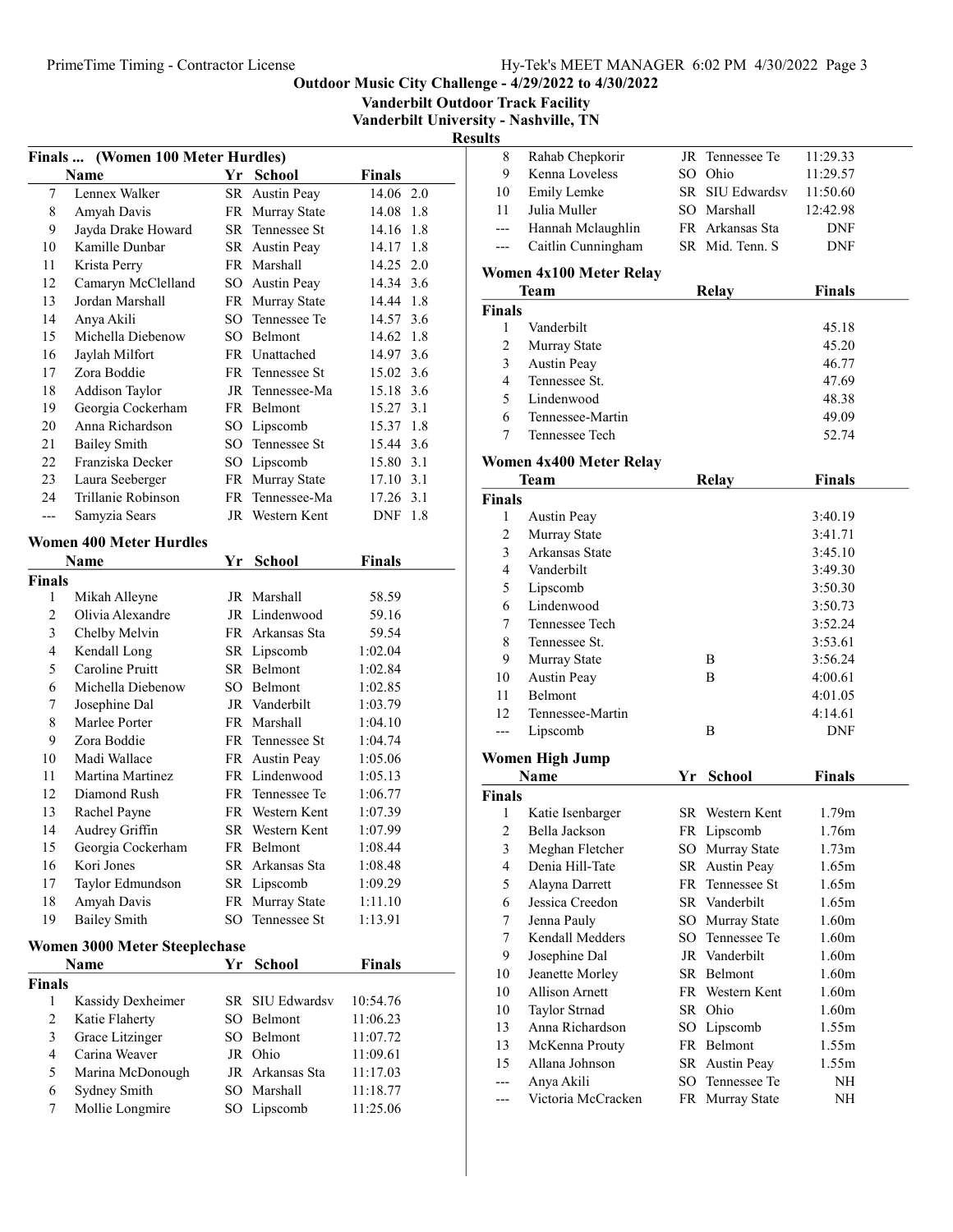Vanderbilt Outdoor Track Facility

Vanderbilt University - Nashville, TN

| Finals         | (Women 100 Meter Hurdles)            |        |                     |               |     |
|----------------|--------------------------------------|--------|---------------------|---------------|-----|
|                | Name                                 | Yr     | <b>School</b>       | <b>Finals</b> |     |
| 7              | Lennex Walker                        |        | SR Austin Peay      | 14.06 2.0     |     |
| 8              | Amyah Davis                          |        | FR Murray State     | 14.08 1.8     |     |
| 9              | Jayda Drake Howard                   |        | SR Tennessee St     | 14.16         | 1.8 |
| 10             | Kamille Dunbar                       |        | SR Austin Peay      | 14.17         | 1.8 |
| 11             | Krista Perry                         |        | FR Marshall         | 14.25 2.0     |     |
| 12             | Camaryn McClelland                   |        | SO Austin Peay      | 14.34 3.6     |     |
| 13             | Jordan Marshall                      |        | FR Murray State     | 14.44 1.8     |     |
| 14             | Anya Akili                           | $SO^-$ | Tennessee Te        | 14.57         | 3.6 |
| 15             | Michella Diebenow                    |        | SO Belmont          | 14.62 1.8     |     |
| 16             | Jaylah Milfort                       |        | FR Unattached       | 14.97 3.6     |     |
| 17             | Zora Boddie                          |        | FR Tennessee St     | 15.02 3.6     |     |
| 18             | Addison Taylor                       |        | JR Tennessee-Ma     | 15.18 3.6     |     |
| 19             | Georgia Cockerham                    |        | FR Belmont          | 15.27 3.1     |     |
| 20             | Anna Richardson                      |        | SO Lipscomb         | 15.37 1.8     |     |
| 21             | <b>Bailey Smith</b>                  |        | SO Tennessee St     | 15.44 3.6     |     |
| 22             | Franziska Decker                     |        | SO Lipscomb         | 15.80 3.1     |     |
| 23             | Laura Seeberger                      |        | FR Murray State     | 17.10 3.1     |     |
| 24             | Trillanie Robinson                   | FR     | Tennessee-Ma        | 17.26 3.1     |     |
| ---            | Samyzia Sears                        | JR     | Western Kent        | DNF 1.8       |     |
|                | <b>Women 400 Meter Hurdles</b>       |        |                     |               |     |
| <b>Finals</b>  | Name                                 | Yr     | <b>School</b>       | Finals        |     |
| 1              | Mikah Alleyne                        |        | JR Marshall         | 58.59         |     |
| $\overline{2}$ | Olivia Alexandre                     |        | JR Lindenwood       | 59.16         |     |
| 3              | Chelby Melvin                        |        | FR Arkansas Sta     | 59.54         |     |
| $\overline{4}$ | Kendall Long                         |        | SR Lipscomb         | 1:02.04       |     |
| 5              | Caroline Pruitt                      |        | SR Belmont          | 1:02.84       |     |
| 6              | Michella Diebenow                    |        | SO Belmont          | 1:02.85       |     |
| 7              | Josephine Dal                        |        | JR Vanderbilt       | 1:03.79       |     |
| 8              | Marlee Porter                        |        | FR Marshall         | 1:04.10       |     |
| 9              | Zora Boddie                          |        | FR Tennessee St     | 1:04.74       |     |
| 10             | Madi Wallace                         |        | FR Austin Peay      | 1:05.06       |     |
| 11             | Martina Martinez                     |        | FR Lindenwood       | 1:05.13       |     |
| 12             | Diamond Rush                         | FR -   | Tennessee Te        | 1:06.77       |     |
| 13             | Rachel Payne                         |        | FR Western Kent     | 1:07.39       |     |
| 14             | Audrey Griffin                       |        | SR Western Kent     | 1:07.99       |     |
| 15             | Georgia Cockerham                    |        | FR Belmont          | 1:08.44       |     |
| 16             | Kori Jones                           |        | SR Arkansas Sta     | 1:08.48       |     |
| 17             | Taylor Edmundson                     |        | SR Lipscomb         | 1:09.29       |     |
| 18             | Amyah Davis                          | FR     | Murray State        | 1:11.10       |     |
| 19             | <b>Bailey Smith</b>                  | SO     | Tennessee St        | 1:13.91       |     |
|                | <b>Women 3000 Meter Steeplechase</b> |        |                     |               |     |
|                | Name                                 | Yr     | <b>School</b>       | <b>Finals</b> |     |
| <b>Finals</b>  |                                      |        |                     |               |     |
| 1              | Kassidy Dexheimer                    | SR     | <b>SIU Edwardsv</b> | 10:54.76      |     |
| 2              | Katie Flaherty                       |        | SO Belmont          | 11:06.23      |     |
| 3              | Grace Litzinger                      |        | SO Belmont          | 11:07.72      |     |
| $\overline{4}$ | Carina Weaver                        |        | JR Ohio             | 11:09.61      |     |
| 5              | Marina McDonough                     |        | JR Arkansas Sta     | 11:17.03      |     |
| 6              | Sydney Smith                         |        | SO Marshall         | 11:18.77      |     |
| 7              | Mollie Longmire                      |        | SO Lipscomb         | 11:25.06      |     |
|                |                                      |        |                     |               |     |

| Rahab Chepkorir<br>8<br>JR Tennessee Te<br>9<br>Kenna Loveless<br>SO Ohio<br>Emily Lemke<br>SR SIU Edwardsv<br>10<br>11<br>Julia Muller<br>SO Marshall<br>Hannah Mclaughlin<br>FR Arkansas Sta<br>---<br>SR Mid. Tenn. S<br>Caitlin Cunningham<br>---<br>Women 4x100 Meter Relay<br><b>Relay</b><br>Team<br><b>Finals</b><br>Vanderbilt<br>1 | 11:29.33<br>11:29.57<br>11:50.60<br>12:42.98<br><b>DNF</b><br>DNF |
|----------------------------------------------------------------------------------------------------------------------------------------------------------------------------------------------------------------------------------------------------------------------------------------------------------------------------------------------|-------------------------------------------------------------------|
|                                                                                                                                                                                                                                                                                                                                              |                                                                   |
|                                                                                                                                                                                                                                                                                                                                              |                                                                   |
|                                                                                                                                                                                                                                                                                                                                              |                                                                   |
|                                                                                                                                                                                                                                                                                                                                              |                                                                   |
|                                                                                                                                                                                                                                                                                                                                              |                                                                   |
|                                                                                                                                                                                                                                                                                                                                              |                                                                   |
|                                                                                                                                                                                                                                                                                                                                              |                                                                   |
|                                                                                                                                                                                                                                                                                                                                              | <b>Finals</b>                                                     |
|                                                                                                                                                                                                                                                                                                                                              |                                                                   |
|                                                                                                                                                                                                                                                                                                                                              | 45.18                                                             |
| 2<br>Murray State                                                                                                                                                                                                                                                                                                                            | 45.20                                                             |
| 3<br>Austin Peay                                                                                                                                                                                                                                                                                                                             | 46.77                                                             |
| $\overline{4}$<br>Tennessee St.                                                                                                                                                                                                                                                                                                              | 47.69                                                             |
| 5<br>Lindenwood                                                                                                                                                                                                                                                                                                                              | 48.38                                                             |
| 6<br>Tennessee-Martin                                                                                                                                                                                                                                                                                                                        | 49.09                                                             |
| 7<br>Tennessee Tech                                                                                                                                                                                                                                                                                                                          | 52.74                                                             |
|                                                                                                                                                                                                                                                                                                                                              |                                                                   |
| Women 4x400 Meter Relay                                                                                                                                                                                                                                                                                                                      |                                                                   |
| <b>Relay</b><br><b>Team</b>                                                                                                                                                                                                                                                                                                                  | <b>Finals</b>                                                     |
| <b>Finals</b><br>1                                                                                                                                                                                                                                                                                                                           | 3:40.19                                                           |
| Austin Peay<br>2<br>Murray State                                                                                                                                                                                                                                                                                                             | 3:41.71                                                           |
| 3<br>Arkansas State                                                                                                                                                                                                                                                                                                                          | 3:45.10                                                           |
| Vanderbilt                                                                                                                                                                                                                                                                                                                                   |                                                                   |
| 4<br>5                                                                                                                                                                                                                                                                                                                                       | 3:49.30                                                           |
| Lipscomb<br>Lindenwood<br>6                                                                                                                                                                                                                                                                                                                  | 3:50.30                                                           |
| 7<br>Tennessee Tech                                                                                                                                                                                                                                                                                                                          | 3:50.73<br>3:52.24                                                |
| 8<br>Tennessee St.                                                                                                                                                                                                                                                                                                                           | 3:53.61                                                           |
| 9<br>Β                                                                                                                                                                                                                                                                                                                                       | 3:56.24                                                           |
| Murray State<br>10                                                                                                                                                                                                                                                                                                                           |                                                                   |
| <b>Austin Peay</b><br>B<br>11<br>Belmont                                                                                                                                                                                                                                                                                                     | 4:00.61<br>4:01.05                                                |
|                                                                                                                                                                                                                                                                                                                                              |                                                                   |
|                                                                                                                                                                                                                                                                                                                                              |                                                                   |
| 12<br>Tennessee-Martin                                                                                                                                                                                                                                                                                                                       | 4:14.61                                                           |
| Lipscomb<br>B<br>---                                                                                                                                                                                                                                                                                                                         | DNF                                                               |
| Women High Jump                                                                                                                                                                                                                                                                                                                              |                                                                   |
| <b>School</b><br>Name<br>Yr                                                                                                                                                                                                                                                                                                                  | <b>Finals</b>                                                     |
| <b>Finals</b>                                                                                                                                                                                                                                                                                                                                |                                                                   |
| SR Western Kent<br>1<br>Katie Isenbarger                                                                                                                                                                                                                                                                                                     | 1.79m                                                             |
| $\overline{\mathbf{c}}$<br>Bella Jackson<br>FR Lipscomb                                                                                                                                                                                                                                                                                      | 1.76m                                                             |
| 3<br>Meghan Fletcher<br>SO Murray State                                                                                                                                                                                                                                                                                                      | 1.73m                                                             |
| Denia Hill-Tate<br>4<br>SR Austin Peay                                                                                                                                                                                                                                                                                                       | 1.65m                                                             |
| 5<br>FR Tennessee St<br>Alayna Darrett                                                                                                                                                                                                                                                                                                       | 1.65m                                                             |
| 6<br>Jessica Creedon<br>SR Vanderbilt                                                                                                                                                                                                                                                                                                        | 1.65m                                                             |
| $\tau$<br>Jenna Pauly<br>SO Murray State                                                                                                                                                                                                                                                                                                     | 1.60 <sub>m</sub>                                                 |
| $\tau$<br>Kendall Medders<br>SO Tennessee Te                                                                                                                                                                                                                                                                                                 | 1.60 <sub>m</sub>                                                 |
| Josephine Dal<br>9<br>JR Vanderbilt                                                                                                                                                                                                                                                                                                          | 1.60 <sub>m</sub>                                                 |
| Jeanette Morley<br>SR Belmont<br>10                                                                                                                                                                                                                                                                                                          | 1.60 <sub>m</sub>                                                 |
| Allison Arnett<br>10<br>FR Western Kent                                                                                                                                                                                                                                                                                                      | 1.60 <sub>m</sub>                                                 |
| Taylor Strnad<br>10<br>SR Ohio                                                                                                                                                                                                                                                                                                               | 1.60 <sub>m</sub>                                                 |
| Anna Richardson<br>13<br>Lipscomb<br>$SO_{-}$                                                                                                                                                                                                                                                                                                | 1.55m                                                             |
| FR Belmont<br>13<br>McKenna Prouty                                                                                                                                                                                                                                                                                                           | 1.55m                                                             |
| Allana Johnson<br>SR Austin Peay<br>15                                                                                                                                                                                                                                                                                                       | 1.55m                                                             |
| Anya Akili<br>SO Tennessee Te<br>---<br>Victoria McCracken<br>FR Murray State<br>---                                                                                                                                                                                                                                                         | NH<br>NH                                                          |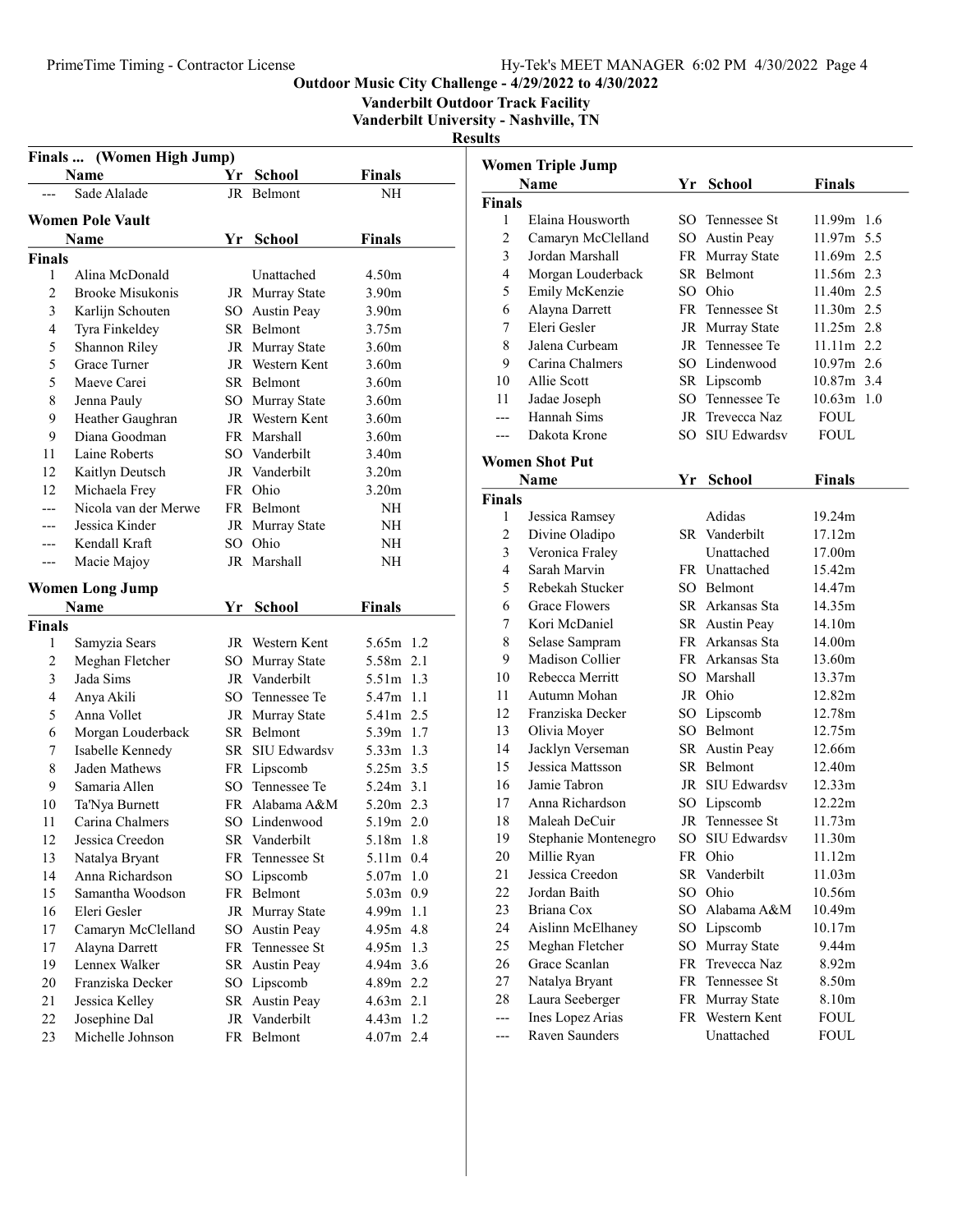Vanderbilt Outdoor Track Facility

Vanderbilt University - Nashville, TN

| Finals  (Women High Jump) |                         |    |                    |                          |  |  |
|---------------------------|-------------------------|----|--------------------|--------------------------|--|--|
|                           | Name                    | Yr | School             | <b>Finals</b>            |  |  |
| $---$                     | Sade Alalade            | JR | Belmont            | NΗ                       |  |  |
|                           |                         |    |                    |                          |  |  |
|                           | <b>Women Pole Vault</b> |    |                    |                          |  |  |
|                           | Name                    | Yr | <b>School</b>      | Finals                   |  |  |
| <b>Finals</b>             |                         |    |                    |                          |  |  |
| 1                         | Alina McDonald          |    | Unattached         | 4.50m                    |  |  |
| $\overline{2}$            | <b>Brooke Misukonis</b> |    | JR Murray State    | 3.90m                    |  |  |
| 3                         | Karlijn Schouten        |    | SO Austin Peay     | 3.90m                    |  |  |
| 4                         | Tyra Finkeldey          |    | SR Belmont         | 3.75m                    |  |  |
| 5                         | Shannon Riley           |    | JR Murray State    | 3.60 <sub>m</sub>        |  |  |
| 5                         | Grace Turner            |    | JR Western Kent    | 3.60 <sub>m</sub>        |  |  |
| 5                         | Maeve Carei             |    | SR Belmont         | 3.60 <sub>m</sub>        |  |  |
| 8                         | Jenna Pauly             |    | SO Murray State    | 3.60 <sub>m</sub>        |  |  |
| 9                         | Heather Gaughran        |    | JR Western Kent    | 3.60m                    |  |  |
| 9                         | Diana Goodman           |    | FR Marshall        | 3.60 <sub>m</sub>        |  |  |
| 11                        | Laine Roberts           |    | SO Vanderbilt      | 3.40m                    |  |  |
| 12                        | Kaitlyn Deutsch         |    | JR Vanderbilt      | 3.20 <sub>m</sub>        |  |  |
| 12                        | Michaela Frey           |    | FR Ohio            | 3.20 <sub>m</sub>        |  |  |
| ---                       | Nicola van der Merwe    |    | FR Belmont         | NH                       |  |  |
|                           | Jessica Kinder          |    | JR Murray State    | NH                       |  |  |
|                           | Kendall Kraft           |    | SO Ohio            | NH                       |  |  |
| ---                       | Macie Majoy             |    | JR Marshall        | NH                       |  |  |
|                           | <b>Women Long Jump</b>  |    |                    |                          |  |  |
|                           | Name                    | Yr | <b>School</b>      | <b>Finals</b>            |  |  |
| <b>Finals</b>             |                         |    |                    |                          |  |  |
| 1                         | Samyzia Sears           |    | JR Western Kent    | 5.65m 1.2                |  |  |
| 2                         | Meghan Fletcher         | SO | Murray State       | 5.58m 2.1                |  |  |
| 3                         | Jada Sims               | JR | Vanderbilt         | 5.51m<br>1.3             |  |  |
| $\overline{4}$            | Anya Akili              | SО | Tennessee Te       | 5.47m<br>1.1             |  |  |
| 5                         | Anna Vollet             |    | JR Murray State    | 5.41m 2.5                |  |  |
| 6                         | Morgan Louderback       |    | SR Belmont         | 1.7<br>5.39m             |  |  |
| 7                         | Isabelle Kennedy        |    | SR SIU Edwardsv    | 5.33m 1.3                |  |  |
| 8                         | Jaden Mathews           |    | FR Lipscomb        | 5.25m 3.5                |  |  |
| 9                         | Samaria Allen           |    | SO Tennessee Te    | 5.24m 3.1                |  |  |
| 10                        | Ta'Nya Burnett          |    | FR Alabama A&M     | 5.20m 2.3                |  |  |
| 11                        | Carina Chalmers         |    | SO Lindenwood      | 5.19m 2.0                |  |  |
| 12                        | Jessica Creedon         |    | SR Vanderbilt      | 5.18m 1.8                |  |  |
| 13                        | Natalya Bryant          |    | FR Tennessee St    | 5.11m 0.4                |  |  |
| 14                        | Anna Richardson         | SO | Lipscomb           | 1.0<br>5.07 <sub>m</sub> |  |  |
| 15                        | Samantha Woodson        | FR | Belmont            | 5.03m 0.9                |  |  |
| 16                        | Eleri Gesler            | JR | Murray State       | 4.99m<br>1.1             |  |  |
| 17                        | Camaryn McClelland      | SO | Austin Peay        | 4.95m<br>4.8             |  |  |
| 17                        | Alayna Darrett          | FR | Tennessee St       | 4.95m 1.3                |  |  |
| 19                        | Lennex Walker           | SR | <b>Austin Peay</b> | 4.94m 3.6                |  |  |
| 20                        | Franziska Decker        | SO | Lipscomb           | 4.89m 2.2                |  |  |
| 21                        | Jessica Kelley          | SR | Austin Peay        | 4.63m 2.1                |  |  |
| 22                        | Josephine Dal           | JR | Vanderbilt         | 4.43m 1.2                |  |  |
| 23                        | Michelle Johnson        | FR |                    | 4.07m 2.4                |  |  |
|                           |                         |    | Belmont            |                          |  |  |

| <b>Women Triple Jump</b> |                                   |     |                           |                  |  |  |
|--------------------------|-----------------------------------|-----|---------------------------|------------------|--|--|
|                          | <b>Name</b>                       |     | Yr School                 | <b>Finals</b>    |  |  |
| <b>Finals</b>            |                                   |     |                           |                  |  |  |
| 1                        | Elaina Housworth                  |     | SO Tennessee St           | 11.99m 1.6       |  |  |
| $\overline{2}$           | Camaryn McClelland                |     | SO Austin Peay            | 11.97m 5.5       |  |  |
| 3                        | Jordan Marshall                   |     | FR Murray State           | 11.69m 2.5       |  |  |
| 4                        | Morgan Louderback                 |     | SR Belmont                | 11.56m 2.3       |  |  |
| 5                        | Emily McKenzie                    |     | SO Ohio                   | 11.40m 2.5       |  |  |
| 6                        | Alayna Darrett                    |     | FR Tennessee St           | 11.30m 2.5       |  |  |
| 7                        | Eleri Gesler                      |     | JR Murray State           | 11.25m 2.8       |  |  |
| 8                        | Jalena Curbeam                    |     | JR Tennessee Te           | 11.11m 2.2       |  |  |
| 9                        | Carina Chalmers                   |     | SO Lindenwood             | 10.97m 2.6       |  |  |
| 10                       | Allie Scott                       |     | SR Lipscomb               | 10.87m 3.4       |  |  |
| 11                       | Jadae Joseph                      |     | SO Tennessee Te           | 10.63m 1.0       |  |  |
| $---$                    | Hannah Sims                       | JR  | Trevecca Naz              | <b>FOUL</b>      |  |  |
| $---$                    | Dakota Krone                      | SO. | <b>SIU Edwardsv</b>       | <b>FOUL</b>      |  |  |
|                          | <b>Women Shot Put</b>             |     |                           |                  |  |  |
|                          |                                   |     |                           |                  |  |  |
|                          | <b>Name</b>                       | Yr  | <b>School</b>             | Finals           |  |  |
| <b>Finals</b>            |                                   |     |                           |                  |  |  |
| 1                        | Jessica Ramsey                    |     | Adidas                    | 19.24m           |  |  |
| 2                        | Divine Oladipo                    |     | SR Vanderbilt             | 17.12m           |  |  |
| 3                        | Veronica Fraley                   |     | Unattached                | 17.00m           |  |  |
| 4                        | Sarah Marvin<br>Rebekah Stucker   |     | FR Unattached             | 15.42m           |  |  |
| 5                        |                                   |     | SO Belmont                | 14.47m           |  |  |
| 6                        | Grace Flowers                     |     | SR Arkansas Sta           | 14.35m           |  |  |
| 7                        | Kori McDaniel                     |     | SR Austin Peay            | 14.10m           |  |  |
| 8                        | Selase Sampram<br>Madison Collier |     | FR Arkansas Sta           | 14.00m           |  |  |
| 9                        | Rebecca Merritt                   |     | FR Arkansas Sta           | 13.60m           |  |  |
| 10<br>11                 | Autumn Mohan                      |     | SO Marshall<br>JR Ohio    | 13.37m<br>12.82m |  |  |
| 12                       | Franziska Decker                  |     |                           |                  |  |  |
| 13                       |                                   |     | SO Lipscomb<br>SO Belmont | 12.78m<br>12.75m |  |  |
| 14                       | Olivia Moyer<br>Jacklyn Verseman  |     | SR Austin Peay            | 12.66m           |  |  |
| 15                       | Jessica Mattsson                  |     | SR Belmont                | 12.40m           |  |  |
| 16                       | Jamie Tabron                      |     | JR SIU Edwardsv           | 12.33m           |  |  |
| 17                       | Anna Richardson                   |     | SO Lipscomb               | 12.22m           |  |  |
| 18                       | Maleah DeCuir                     | JR  | Tennessee St              | 11.73m           |  |  |
| 19                       | Stephanie Montenegro              |     | SO SIU Edwardsv           | 11.30m           |  |  |
| 20                       | Millie Ryan                       |     | FR Ohio                   | 11.12m           |  |  |
| 21                       | Jessica Creedon                   | SR  | Vanderbilt                | 11.03m           |  |  |
| 22                       | Jordan Baith                      | SO. | Ohio                      | 10.56m           |  |  |
| 23                       | Briana Cox                        | SO. | Alabama A&M               | 10.49m           |  |  |
| 24                       | Aislinn McElhaney                 |     | SO Lipscomb               | 10.17m           |  |  |
| 25                       | Meghan Fletcher                   | SO  | Murray State              | 9.44m            |  |  |
| 26                       | Grace Scanlan                     | FR  | Trevecca Naz              | 8.92m            |  |  |
| 27                       | Natalya Bryant                    | FR  | Tennessee St              | 8.50m            |  |  |
| 28                       | Laura Seeberger                   | FR  | Murray State              | 8.10m            |  |  |
| ---                      | Ines Lopez Arias                  | FR  | Western Kent              | <b>FOUL</b>      |  |  |
| ---                      | Raven Saunders                    |     | Unattached                | FOUL             |  |  |
|                          |                                   |     |                           |                  |  |  |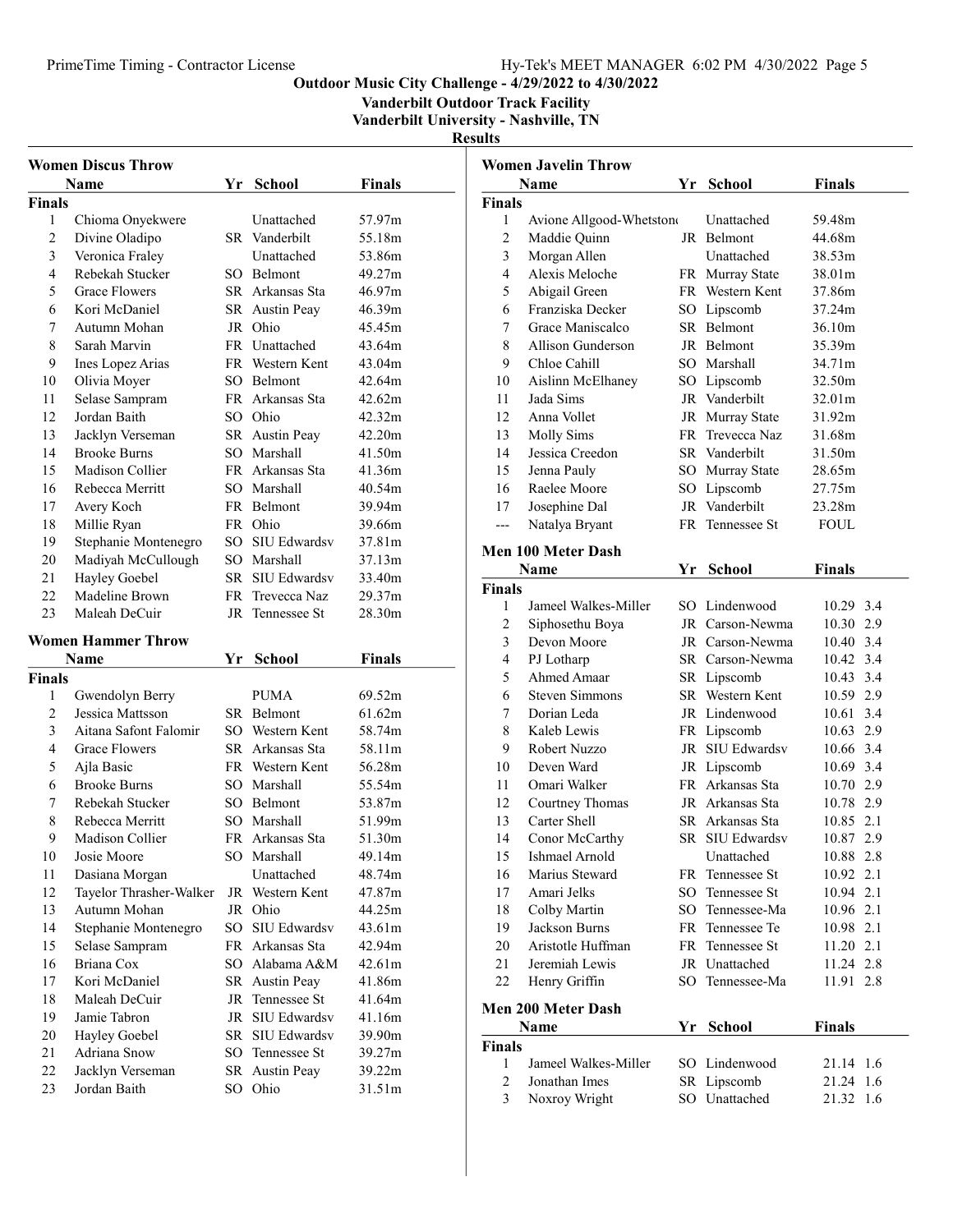## PrimeTime Timing - Contractor License Hy-Tek's MEET MANAGER 6:02 PM 4/30/2022 Page 5

Outdoor Music City Challenge - 4/29/2022 to 4/30/2022

Vanderbilt Outdoor Track Facility

Vanderbilt University - Nashville, TN

|                | <b>Women Discus Throw</b>        |    |                           |                  |
|----------------|----------------------------------|----|---------------------------|------------------|
|                | Name                             | Yr | <b>School</b>             | Finals           |
| Finals         |                                  |    |                           |                  |
| 1              | Chioma Onyekwere                 |    | Unattached                | 57.97m           |
| $\overline{2}$ | Divine Oladipo                   |    | SR Vanderbilt             | 55.18m           |
| 3              | Veronica Fraley                  |    | Unattached                | 53.86m           |
| 4              | Rebekah Stucker                  |    | SO Belmont                | 49.27m           |
| 5              | Grace Flowers                    |    | SR Arkansas Sta           | 46.97m           |
| 6              | Kori McDaniel                    |    | SR Austin Peay            | 46.39m           |
| 7              | Autumn Mohan                     | JR | Ohio                      | 45.45m           |
| 8              | Sarah Marvin                     |    | FR Unattached             | 43.64m           |
| 9              | Ines Lopez Arias                 |    | FR Western Kent           | 43.04m           |
| 10             | Olivia Moyer                     |    | SO Belmont                | 42.64m           |
| 11             | Selase Sampram                   |    | FR Arkansas Sta           | 42.62m           |
| 12             | Jordan Baith                     |    | SO Ohio                   | 42.32m           |
| 13             | Jacklyn Verseman                 |    | SR Austin Peay            | 42.20m           |
| 14             | <b>Brooke Burns</b>              |    | SO Marshall               | 41.50m           |
| 15             | Madison Collier                  |    | FR Arkansas Sta           | 41.36m           |
| 16             | Rebecca Merritt                  |    | SO Marshall               | 40.54m           |
| 17             | Avery Koch                       |    | FR Belmont                | 39.94m           |
| 18             | Millie Ryan                      |    | FR Ohio                   | 39.66m           |
| 19             | Stephanie Montenegro             |    | SO SIU Edwardsv           | 37.81m           |
| 20             | Madiyah McCullough               |    | SO Marshall               | 37.13m           |
| 21             | Hayley Goebel                    |    | SR SIU Edwardsv           | 33.40m           |
| 22             | Madeline Brown                   |    | FR Trevecca Naz           | 29.37m           |
| 23             | Maleah DeCuir                    | JR | Tennessee St              | 28.30m           |
|                | <b>Women Hammer Throw</b>        |    |                           |                  |
|                |                                  |    |                           |                  |
|                |                                  |    |                           |                  |
|                | Name                             | Υr | <b>School</b>             | Finals           |
| <b>Finals</b>  |                                  |    |                           |                  |
| 1              | Gwendolyn Berry                  |    | PUMA                      | 69.52m           |
| $\overline{2}$ | Jessica Mattsson                 |    | SR Belmont                | 61.62m           |
| 3              | Aitana Safont Falomir            |    | SO Western Kent           | 58.74m           |
| 4              | Grace Flowers                    |    | SR Arkansas Sta           | 58.11m           |
| 5              | Ajla Basic                       |    | FR Western Kent           | 56.28m           |
| 6              | <b>Brooke Burns</b>              |    | SO Marshall               | 55.54m           |
| 7              | Rebekah Stucker                  |    | SO Belmont                | 53.87m           |
| 8              | Rebecca Merritt                  |    | SO Marshall               | 51.99m           |
| 9              | Madison Collier                  |    | FR Arkansas Sta           | 51.30m           |
| 10             | Josie Moore                      |    | SO Marshall               | 49.14m           |
| 11             | Dasiana Morgan                   |    | Unattached                | 48.74m           |
| 12             | Tayelor Thrasher-Walker          |    | JR Western Kent           | 47.87m           |
| 13             | Autumn Mohan                     |    | JR Ohio                   | 44.25m           |
| 14             | Stephanie Montenegro             | SO | <b>SIU Edwardsv</b>       | 43.61m           |
| 15             | Selase Sampram                   |    | FR Arkansas Sta           | 42.94m           |
| 16             | Briana Cox                       |    | SO Alabama A&M            | 42.61m           |
| 17             | Kori McDaniel                    |    | SR Austin Peay            | 41.86m           |
| 18             | Maleah DeCuir                    | JR | Tennessee St              | 41.64m           |
| 19             | Jamie Tabron                     | JR | SIU Edwardsv              | 41.16m           |
| 20             | Hayley Goebel                    | SR | SIU Edwardsv              | 39.90m           |
| 21             | Adriana Snow                     |    | SO Tennessee St           | 39.27m           |
| 22<br>23       | Jacklyn Verseman<br>Jordan Baith |    | SR Austin Peay<br>SO Ohio | 39.22m<br>31.51m |

|                    | <b>Women Javelin Throw</b>    |    |                                    |                        |  |
|--------------------|-------------------------------|----|------------------------------------|------------------------|--|
|                    | <b>Name</b>                   |    | Yr School                          | <b>Finals</b>          |  |
| Finals             |                               |    |                                    |                        |  |
| 1                  | Avione Allgood-Whetston       |    | Unattached                         | 59.48m                 |  |
| $\overline{c}$     | Maddie Quinn                  |    | JR Belmont                         | 44.68m                 |  |
| 3                  | Morgan Allen                  |    | Unattached                         | 38.53m                 |  |
| $\overline{4}$     | Alexis Meloche                |    | FR Murray State                    | 38.01m                 |  |
| 5                  | Abigail Green                 |    | FR Western Kent                    | 37.86m                 |  |
| 6                  | Franziska Decker              |    | SO Lipscomb                        | 37.24m                 |  |
| 7                  | Grace Maniscalco              |    | SR Belmont                         | 36.10m                 |  |
| 8                  | Allison Gunderson             |    | JR Belmont                         | 35.39m                 |  |
| 9                  | Chloe Cahill                  |    | SO Marshall                        | 34.71m                 |  |
| 10                 | Aislinn McElhaney             |    | SO Lipscomb                        | 32.50m                 |  |
| 11                 | Jada Sims                     |    | JR Vanderbilt                      | 32.01m                 |  |
| 12                 | Anna Vollet                   |    | JR Murray State                    | 31.92m                 |  |
| 13                 | <b>Molly Sims</b>             |    | FR Trevecca Naz                    | 31.68m                 |  |
| 14                 | Jessica Creedon               |    | SR Vanderbilt                      | 31.50m                 |  |
| 15                 | Jenna Pauly                   |    | SO Murray State                    | 28.65m                 |  |
| 16                 | Raelee Moore                  | SO | Lipscomb                           | 27.75m                 |  |
| 17                 | Josephine Dal                 | JR | Vanderbilt                         | 23.28m                 |  |
| $---$              | Natalya Bryant                | FR | Tennessee St                       | FOUL                   |  |
|                    | Men 100 Meter Dash            |    |                                    |                        |  |
|                    |                               |    |                                    |                        |  |
|                    | Name                          | Yr | <b>School</b>                      | Finals                 |  |
| <b>Finals</b><br>1 | Jameel Walkes-Miller          |    | SO Lindenwood                      |                        |  |
| $\overline{c}$     |                               |    | JR Carson-Newma                    | 10.29 3.4<br>10.30 2.9 |  |
| 3                  | Siphosethu Boya               |    |                                    | 10.40 3.4              |  |
| 4                  | Devon Moore                   |    | JR Carson-Newma                    |                        |  |
| 5                  | PJ Lotharp                    |    | SR Carson-Newma                    | 10.42 3.4              |  |
| 6                  | Ahmed Amaar<br>Steven Simmons |    | SR Lipscomb<br>SR Western Kent     | 10.43 3.4<br>10.59 2.9 |  |
| 7                  | Dorian Leda                   |    |                                    | 10.61 3.4              |  |
| 8                  | Kaleb Lewis                   |    | JR Lindenwood                      | 10.63 2.9              |  |
| 9                  | Robert Nuzzo                  | JR | FR Lipscomb<br><b>SIU Edwardsv</b> | 10.66 3.4              |  |
|                    | Deven Ward                    |    |                                    |                        |  |
| 10                 | Omari Walker                  |    | JR Lipscomb<br>FR Arkansas Sta     | 10.69 3.4              |  |
| 11<br>12           |                               |    | JR Arkansas Sta                    | 10.70 2.9              |  |
|                    | Courtney Thomas               |    |                                    | 10.78 2.9              |  |
| 13                 | Carter Shell                  |    | SR Arkansas Sta                    | 10.85 2.1              |  |
| 14                 | Conor McCarthy                |    | SR SIU Edwardsv                    | 10.87 2.9              |  |
| 15                 | Ishmael Arnold                |    | Unattached                         | 10.88 2.8              |  |
| 16                 | Marius Steward                |    | FR Tennessee St                    | 10.92 2.1              |  |
| 17                 | Amari Jelks                   | SO | Tennessee St                       | 10.94 2.1              |  |
| 18                 | Colby Martin                  |    | SO Tennessee-Ma                    | 10.96 2.1              |  |
| 19                 | Jackson Burns                 |    | FR Tennessee Te                    | 10.98 2.1              |  |
| 20                 | Aristotle Huffman             |    | FR Tennessee St                    | 11.20 2.1              |  |
| 21                 | Jeremiah Lewis                |    | JR Unattached                      | 11.24 2.8              |  |
| 22                 | Henry Griffin                 | SO | Tennessee-Ma                       | 11.91 2.8              |  |
|                    | <b>Men 200 Meter Dash</b>     |    |                                    |                        |  |
|                    | Name                          | Yr | <b>School</b>                      | <b>Finals</b>          |  |
| Finals             |                               |    |                                    |                        |  |
| 1                  | Jameel Walkes-Miller          |    | SO Lindenwood                      | 21.14 1.6              |  |
| $\overline{c}$     | Jonathan Imes                 |    | SR Lipscomb                        | 21.24 1.6              |  |
| 3                  | Noxroy Wright                 |    | SO Unattached                      | 21.32<br>1.6           |  |
|                    |                               |    |                                    |                        |  |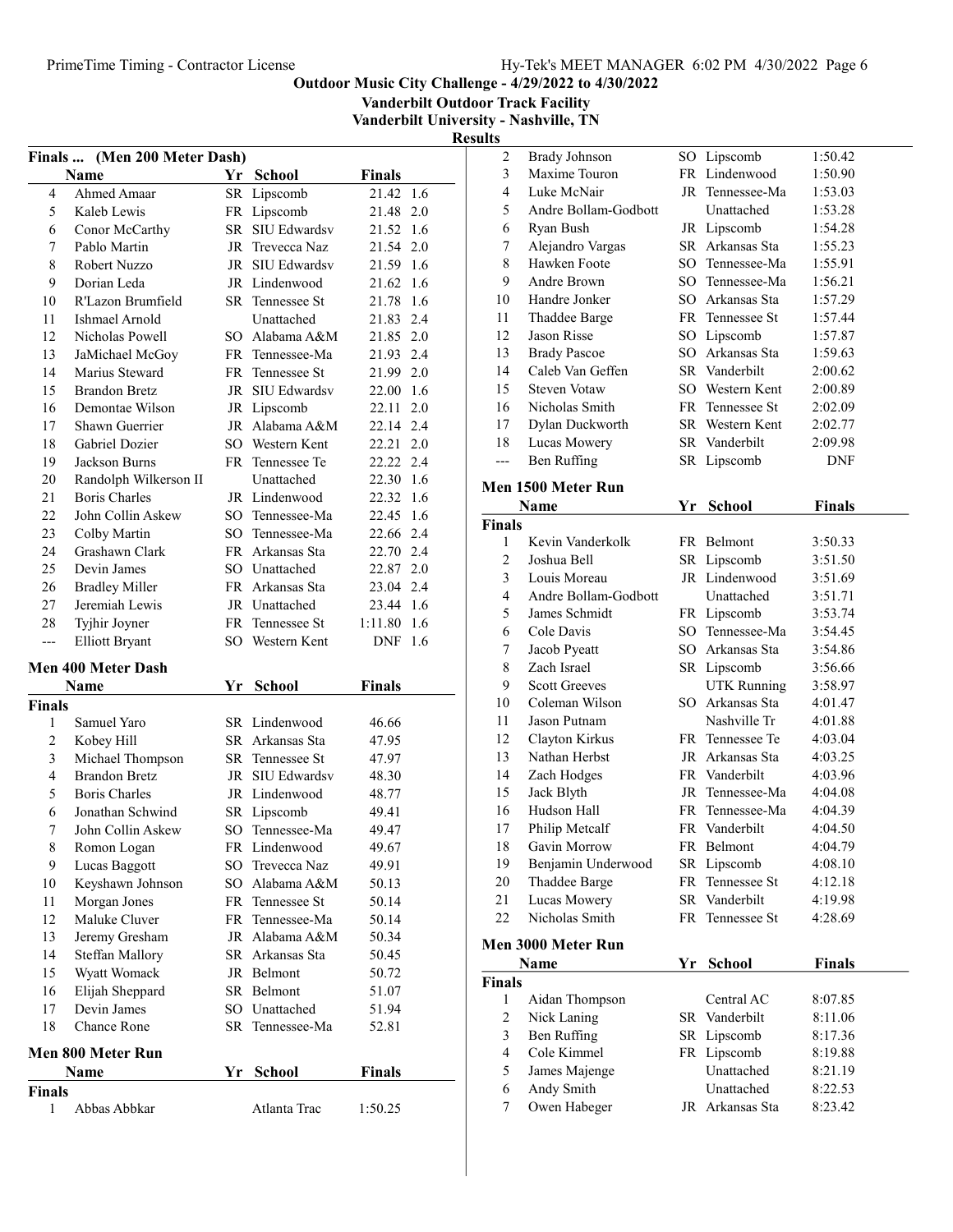Vanderbilt Outdoor Track Facility

Vanderbilt University - Nashville, TN

|               | Finals  (Men 200 Meter Dash) |    |                        |               |     |
|---------------|------------------------------|----|------------------------|---------------|-----|
|               | Name                         | Yr | <b>School</b>          | <b>Finals</b> |     |
| 4             | Ahmed Amaar                  |    | SR Lipscomb            | 21.42         | 1.6 |
| 5             | Kaleb Lewis                  |    | FR Lipscomb            | 21.48 2.0     |     |
| 6             | Conor McCarthy               |    | SR SIU Edwardsv        | 21.52 1.6     |     |
| 7             | Pablo Martin                 |    | JR Trevecca Naz        | 21.54 2.0     |     |
| 8             | Robert Nuzzo                 |    | JR SIU Edwardsv        | 21.59 1.6     |     |
| 9             | Dorian Leda                  |    | JR Lindenwood          | 21.62 1.6     |     |
| 10            | R'Lazon Brumfield            |    | SR Tennessee St        | 21.78 1.6     |     |
| 11            | Ishmael Arnold               |    | Unattached             | 21.83 2.4     |     |
| 12            | Nicholas Powell              |    | SO Alabama A&M         | 21.85 2.0     |     |
| 13            | JaMichael McGoy              |    | FR Tennessee-Ma        | 21.93 2.4     |     |
| 14            | Marius Steward               |    | FR Tennessee St        | 21.99 2.0     |     |
| 15            | <b>Brandon Bretz</b>         |    | JR SIU Edwardsv        | 22.00 1.6     |     |
| 16            | Demontae Wilson              |    | JR Lipscomb            | 22.11         | 2.0 |
| 17            | Shawn Guerrier               |    | JR Alabama A&M         | 22.14 2.4     |     |
| 18            | <b>Gabriel Dozier</b>        |    | SO Western Kent        | 22.21         | 2.0 |
| 19            | Jackson Burns                |    | FR Tennessee Te        | 22.22 2.4     |     |
| 20            | Randolph Wilkerson II        |    | Unattached             | 22.30 1.6     |     |
| 21            | <b>Boris Charles</b>         |    | JR Lindenwood          | 22.32 1.6     |     |
| 22            | John Collin Askew            |    | SO Tennessee-Ma        | 22.45 1.6     |     |
| 23            | Colby Martin                 |    | SO Tennessee-Ma        | 22.66 2.4     |     |
| 24            | Grashawn Clark               |    | FR Arkansas Sta        | 22.70 2.4     |     |
| 25            | Devin James                  |    | SO Unattached          | 22.87 2.0     |     |
| 26            | <b>Bradley Miller</b>        |    | FR Arkansas Sta        | 23.04 2.4     |     |
| 27            | Jeremiah Lewis               |    | JR Unattached          | 23.44 1.6     |     |
| 28            | Tyjhir Joyner                |    | FR Tennessee St        | 1:11.80 1.6   |     |
| ---           | <b>Elliott Bryant</b>        |    | SO Western Kent        | DNF           | 1.6 |
|               | Men 400 Meter Dash           |    |                        |               |     |
|               | Name                         | Yr | <b>School</b>          | <b>Finals</b> |     |
| <b>Finals</b> |                              |    |                        |               |     |
| 1             | Samuel Yaro                  |    | SR Lindenwood          | 46.66         |     |
| 2             | Kobey Hill                   |    | SR Arkansas Sta        | 47.95         |     |
| 3             | Michael Thompson             |    | <b>SR</b> Tennessee St | 47.97         |     |
| 4             | <b>Brandon Bretz</b>         |    | JR SIU Edwardsv        | 48.30         |     |
| 5             | <b>Boris Charles</b>         |    | JR Lindenwood          | 48.77         |     |
| 6             | Jonathan Schwind             |    | SR Lipscomb            | 49.41         |     |
| 7             | John Collin Askew            |    | SO Tennessee-Ma        | 49.47         |     |
| 8             | Romon Logan                  |    | FR Lindenwood          | 49.67         |     |
| 9             | Lucas Baggott                |    | SO Trevecca Naz        | 49.91         |     |
| 10            | Keyshawn Johnson             |    | SO Alabama A&M         | 50.13         |     |
| 11            | Morgan Jones                 |    | FR Tennessee St        | 50.14         |     |
| 12            | Maluke Cluver                |    | FR Tennessee-Ma        | 50.14         |     |
| 13            | Jeremy Gresham               |    | JR Alabama A&M         | 50.34         |     |
| 14            | Steffan Mallory              |    | SR Arkansas Sta        | 50.45         |     |
| 15            | Wyatt Womack                 |    | JR Belmont             | 50.72         |     |
| 16            | Elijah Sheppard              |    | SR Belmont             | 51.07         |     |
| 17            | Devin James                  |    | SO Unattached          | 51.94         |     |
| 18            | Chance Rone                  |    | SR Tennessee-Ma        | 52.81         |     |
|               | Men 800 Meter Run            |    |                        |               |     |
|               | Name                         | Yr | School                 | <b>Finals</b> |     |
| Finals        |                              |    |                        |               |     |
| 1             | Abbas Abbkar                 |    | Atlanta Trac           | 1:50.25       |     |

| $\sqrt{2}$              | <b>Brady Johnson</b> |    | SO Lipscomb        | 1:50.42       |
|-------------------------|----------------------|----|--------------------|---------------|
| 3                       | Maxime Touron        |    | FR Lindenwood      | 1:50.90       |
| $\overline{4}$          | Luke McNair          |    | JR Tennessee-Ma    | 1:53.03       |
| 5                       | Andre Bollam-Godbott |    | Unattached         | 1:53.28       |
| 6                       | Ryan Bush            |    | JR Lipscomb        | 1:54.28       |
| 7                       | Alejandro Vargas     |    | SR Arkansas Sta    | 1:55.23       |
| 8                       | Hawken Foote         |    | SO Tennessee-Ma    | 1:55.91       |
| 9                       | Andre Brown          |    | SO Tennessee-Ma    | 1:56.21       |
| 10                      | Handre Jonker        |    | SO Arkansas Sta    | 1:57.29       |
| 11                      | Thaddee Barge        |    | FR Tennessee St    | 1:57.44       |
| 12                      | Jason Risse          |    | SO Lipscomb        | 1:57.87       |
| 13                      | <b>Brady Pascoe</b>  |    | SO Arkansas Sta    | 1:59.63       |
| 14                      | Caleb Van Geffen     |    | SR Vanderbilt      | 2:00.62       |
| 15                      | <b>Steven Votaw</b>  |    | SO Western Kent    | 2:00.89       |
| 16                      | Nicholas Smith       |    | FR Tennessee St    | 2:02.09       |
| 17                      | Dylan Duckworth      |    | SR Western Kent    | 2:02.77       |
| 18                      | Lucas Mowery         |    | SR Vanderbilt      | 2:09.98       |
| ---                     | Ben Ruffing          |    | SR Lipscomb        | DNF           |
|                         |                      |    |                    |               |
|                         | Men 1500 Meter Run   |    |                    |               |
|                         | Name                 | Yr | <b>School</b>      | <b>Finals</b> |
| <b>Finals</b>           |                      |    |                    |               |
| 1                       | Kevin Vanderkolk     |    | FR Belmont         | 3:50.33       |
| 2                       | Joshua Bell          |    | SR Lipscomb        | 3:51.50       |
| 3                       | Louis Moreau         |    | JR Lindenwood      | 3:51.69       |
| $\overline{4}$          | Andre Bollam-Godbott |    | Unattached         | 3:51.71       |
| 5                       | James Schmidt        |    | FR Lipscomb        | 3:53.74       |
| 6                       | Cole Davis           |    | SO Tennessee-Ma    | 3:54.45       |
| 7                       | Jacob Pyeatt         |    | SO Arkansas Sta    | 3:54.86       |
| 8                       | Zach Israel          |    | SR Lipscomb        | 3:56.66       |
| 9                       | <b>Scott Greeves</b> |    | <b>UTK Running</b> | 3:58.97       |
| 10                      | Coleman Wilson       |    | SO Arkansas Sta    | 4:01.47       |
| 11                      | Jason Putnam         |    | Nashville Tr       | 4:01.88       |
| 12                      | Clayton Kirkus       |    | FR Tennessee Te    | 4:03.04       |
| 13                      | Nathan Herbst        |    | JR Arkansas Sta    | 4:03.25       |
| 14                      | Zach Hodges          |    | FR Vanderbilt      | 4:03.96       |
| 15                      | Jack Blyth           |    | JR Tennessee-Ma    | 4:04.08       |
| 16                      | Hudson Hall          |    | FR Tennessee-Ma    | 4:04.39       |
| 17                      | Philip Metcalf       |    | FR Vanderbilt      | 4:04.50       |
| 18                      | Gavin Morrow         |    | FR Belmont         | 4:04.79       |
| 19                      | Benjamin Underwood   |    | SR Lipscomb        | 4:08.10       |
| 20                      | Thaddee Barge        |    | FR Tennessee St    | 4:12.18       |
| 21                      | Lucas Mowery         |    | SR Vanderbilt      | 4:19.98       |
| 22                      | Nicholas Smith       |    | FR Tennessee St    | 4:28.69       |
|                         | Men 3000 Meter Run   |    |                    |               |
|                         |                      |    |                    |               |
|                         | Name                 | Yr | <b>School</b>      | <b>Finals</b> |
| <b>Finals</b>           |                      |    |                    |               |
| 1                       | Aidan Thompson       |    | Central AC         | 8:07.85       |
| 2                       | Nick Laning          |    | SR Vanderbilt      | 8:11.06       |
| $\overline{\mathbf{3}}$ | Ben Ruffing          |    | SR Lipscomb        | 8:17.36       |
| $\overline{4}$          | Cole Kimmel          |    | FR Lipscomb        | 8:19.88       |
| 5                       | James Majenge        |    | Unattached         | 8:21.19       |
| 6                       | Andy Smith           |    | Unattached         | 8:22.53       |
| 7                       | Owen Habeger         |    | JR Arkansas Sta    | 8:23.42       |
|                         |                      |    |                    |               |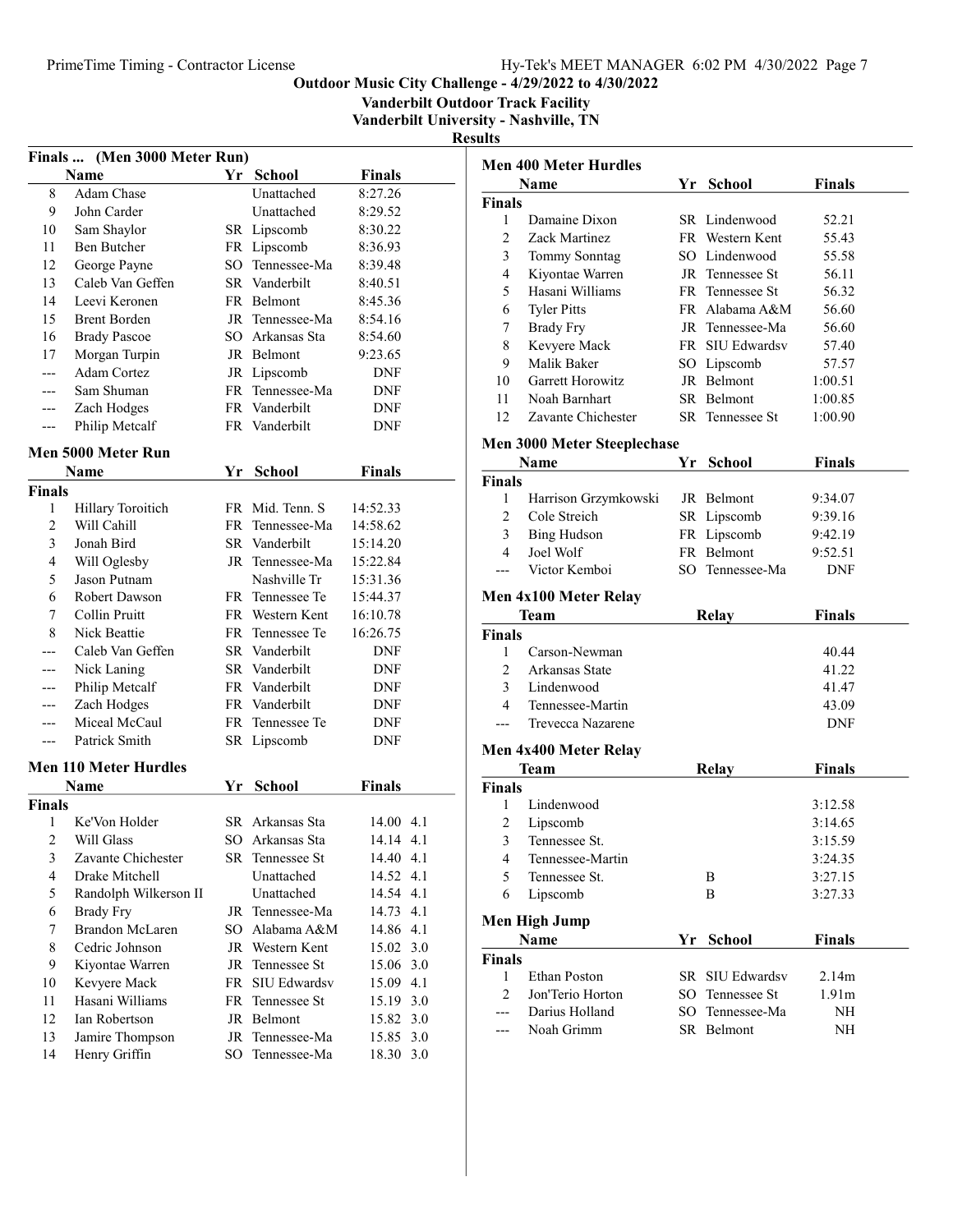Vanderbilt Outdoor Track Facility

Vanderbilt University - Nashville, TN

| Finals  (Men 3000 Meter Run) |                              |    |                 |               |     |
|------------------------------|------------------------------|----|-----------------|---------------|-----|
|                              | <b>Name</b>                  | Yr | School          | <b>Finals</b> |     |
| 8                            | Adam Chase                   |    | Unattached      | 8:27.26       |     |
| 9                            | John Carder                  |    | Unattached      | 8:29.52       |     |
| 10                           | Sam Shaylor                  |    | SR Lipscomb     | 8:30.22       |     |
| 11                           | <b>Ben Butcher</b>           |    | FR Lipscomb     | 8:36.93       |     |
| 12                           | George Payne                 |    | SO Tennessee-Ma | 8:39.48       |     |
| 13                           | Caleb Van Geffen             |    | SR Vanderbilt   | 8:40.51       |     |
| 14                           | Leevi Keronen                |    | FR Belmont      | 8:45.36       |     |
| 15                           | <b>Brent Borden</b>          |    | JR Tennessee-Ma | 8:54.16       |     |
| 16                           | <b>Brady Pascoe</b>          |    | SO Arkansas Sta | 8:54.60       |     |
| 17                           | Morgan Turpin                |    | JR Belmont      | 9:23.65       |     |
|                              | <b>Adam Cortez</b>           |    | JR Lipscomb     | DNF           |     |
| ---                          | Sam Shuman                   |    | FR Tennessee-Ma | <b>DNF</b>    |     |
| ---                          | Zach Hodges                  |    | FR Vanderbilt   | DNF           |     |
| ---                          | Philip Metcalf               |    | FR Vanderbilt   | DNF           |     |
|                              | Men 5000 Meter Run           |    |                 |               |     |
|                              | Name                         | Yr | <b>School</b>   | <b>Finals</b> |     |
| <b>Finals</b>                |                              |    |                 |               |     |
| 1                            | Hillary Toroitich            |    | FR Mid. Tenn. S | 14:52.33      |     |
| $\overline{c}$               | Will Cahill                  |    | FR Tennessee-Ma | 14:58.62      |     |
| 3                            | Jonah Bird                   |    | SR Vanderbilt   | 15:14.20      |     |
| 4                            | Will Oglesby                 |    | JR Tennessee-Ma | 15:22.84      |     |
| 5                            | Jason Putnam                 |    | Nashville Tr    | 15:31.36      |     |
| 6                            | Robert Dawson                |    | FR Tennessee Te | 15:44.37      |     |
| 7                            | Collin Pruitt                |    | FR Western Kent | 16:10.78      |     |
| 8                            | Nick Beattie                 |    | FR Tennessee Te | 16:26.75      |     |
|                              | Caleb Van Geffen             |    | SR Vanderbilt   | DNF           |     |
| ---                          | Nick Laning                  |    | SR Vanderbilt   | <b>DNF</b>    |     |
| ---                          | Philip Metcalf               |    | FR Vanderbilt   | DNF           |     |
| ---                          | Zach Hodges                  |    | FR Vanderbilt   | DNF           |     |
| ---                          | Miceal McCaul                |    | FR Tennessee Te | DNF           |     |
| ---                          | Patrick Smith                |    | SR Lipscomb     | DNF           |     |
|                              | <b>Men 110 Meter Hurdles</b> |    |                 |               |     |
|                              | Name                         | Yr | <b>School</b>   | <b>Finals</b> |     |
| <b>Finals</b>                |                              |    |                 |               |     |
| 1                            | Ke'Von Holder                |    | SR Arkansas Sta | 14.00 4.1     |     |
| $\overline{\mathbf{c}}$      | Will Glass                   |    | SO Arkansas Sta | 14.14 4.1     |     |
| 3                            | Zavante Chichester           |    | SR Tennessee St | 14.40 4.1     |     |
| $\overline{\mathbf{4}}$      | Drake Mitchell               |    | Unattached      | 14.52 4.1     |     |
| 5                            | Randolph Wilkerson II        |    | Unattached      | 14.54 4.1     |     |
| 6                            | <b>Brady Fry</b>             |    | JR Tennessee-Ma | 14.73 4.1     |     |
| 7                            | <b>Brandon McLaren</b>       |    | SO Alabama A&M  | 14.86 4.1     |     |
| 8                            | Cedric Johnson               |    | JR Western Kent | 15.02 3.0     |     |
| 9                            | Kiyontae Warren              |    | JR Tennessee St | 15.06 3.0     |     |
| 10                           | Kevyere Mack                 |    | FR SIU Edwardsv | 15.09         | 4.1 |
| 11                           | Hasani Williams              |    | FR Tennessee St | 15.19         | 3.0 |
| 12                           | Ian Robertson                |    | JR Belmont      | 15.82 3.0     |     |
| 13                           | Jamire Thompson              | JR | Tennessee-Ma    | 15.85 3.0     |     |
| 14                           | Henry Griffin                | SO | Tennessee-Ma    | 18.30         | 3.0 |
|                              |                              |    |                 |               |     |

| <b>Men 400 Meter Hurdles</b> |                                    |              |                              |                    |  |
|------------------------------|------------------------------------|--------------|------------------------------|--------------------|--|
|                              | Name                               |              | Yr School                    | <b>Finals</b>      |  |
| Finals                       |                                    |              |                              |                    |  |
| 1                            | Damaine Dixon                      |              | SR Lindenwood                | 52.21              |  |
| 2                            | Zack Martinez                      |              | FR Western Kent              | 55.43              |  |
| 3                            | Tommy Sonntag                      |              | SO Lindenwood                | 55.58              |  |
| 4                            | Kiyontae Warren                    |              | JR Tennessee St              | 56.11              |  |
| 5                            | Hasani Williams                    |              | FR Tennessee St              | 56.32              |  |
| 6                            | <b>Tyler Pitts</b>                 |              | FR Alabama A&M               | 56.60              |  |
| 7                            | <b>Brady Fry</b>                   |              | JR Tennessee-Ma              | 56.60              |  |
| 8                            | Kevyere Mack                       |              | FR SIU Edwardsv              | 57.40              |  |
| 9                            | Malik Baker                        |              | SO Lipscomb                  | 57.57              |  |
| 10                           | Garrett Horowitz                   |              | JR Belmont                   | 1:00.51            |  |
| 11                           | Noah Barnhart                      |              | SR Belmont                   | 1:00.85            |  |
| 12                           | Zavante Chichester                 |              | SR Tennessee St              | 1:00.90            |  |
|                              | <b>Men 3000 Meter Steeplechase</b> |              |                              |                    |  |
|                              | Name                               | Yr           | School                       | <b>Finals</b>      |  |
| <b>Finals</b>                |                                    |              |                              |                    |  |
| 1                            | Harrison Grzymkowski               |              | JR Belmont                   | 9:34.07            |  |
| 2                            | Cole Streich                       |              | SR Lipscomb                  | 9:39.16            |  |
| 3                            | <b>Bing Hudson</b>                 |              | FR Lipscomb                  | 9:42.19            |  |
| 4                            | Joel Wolf                          |              | FR Belmont                   | 9:52.51            |  |
|                              | Victor Kemboi                      |              | SO Tennessee-Ma              | DNF                |  |
|                              | Men 4x100 Meter Relay              |              |                              |                    |  |
|                              |                                    |              |                              |                    |  |
|                              |                                    |              |                              | <b>Finals</b>      |  |
| <b>Finals</b>                | Team                               |              | Relay                        |                    |  |
| 1                            | Carson-Newman                      |              |                              | 40.44              |  |
| 2                            | Arkansas State                     |              |                              | 41.22              |  |
| 3                            | Lindenwood                         |              |                              | 41.47              |  |
| 4                            | Tennessee-Martin                   |              |                              | 43.09              |  |
|                              | Trevecca Nazarene                  |              |                              | DNF                |  |
|                              |                                    |              |                              |                    |  |
|                              | Men 4x400 Meter Relay<br>Team      |              |                              |                    |  |
| <b>Finals</b>                |                                    |              | Relay                        | <b>Finals</b>      |  |
| 1                            | Lindenwood                         |              |                              | 3:12.58            |  |
| 2                            |                                    |              |                              | 3:14.65            |  |
| 3                            | Lipscomb<br>Tennessee St.          |              |                              | 3:15.59            |  |
| 4                            | Tennessee-Martin                   |              |                              |                    |  |
| 5                            |                                    |              | Β                            | 3:24.35            |  |
| 6                            | Tennessee St.<br>Lipscomb          |              | Β                            | 3:27.15<br>3:27.33 |  |
|                              |                                    |              |                              |                    |  |
|                              | <b>Men High Jump</b>               |              |                              |                    |  |
|                              | Name                               | Yr -         | <b>School</b>                | <b>Finals</b>      |  |
| <b>Finals</b>                |                                    |              |                              |                    |  |
| 1<br>2                       | Ethan Poston<br>Jon'Terio Horton   | SR -<br>SO - | SIU Edwardsv<br>Tennessee St | 2.14m              |  |
|                              |                                    |              |                              | 1.91 <sub>m</sub>  |  |
|                              | Darius Holland<br>Noah Grimm       | SO -         | Tennessee-Ma<br>SR Belmont   | NΗ<br>NΗ           |  |